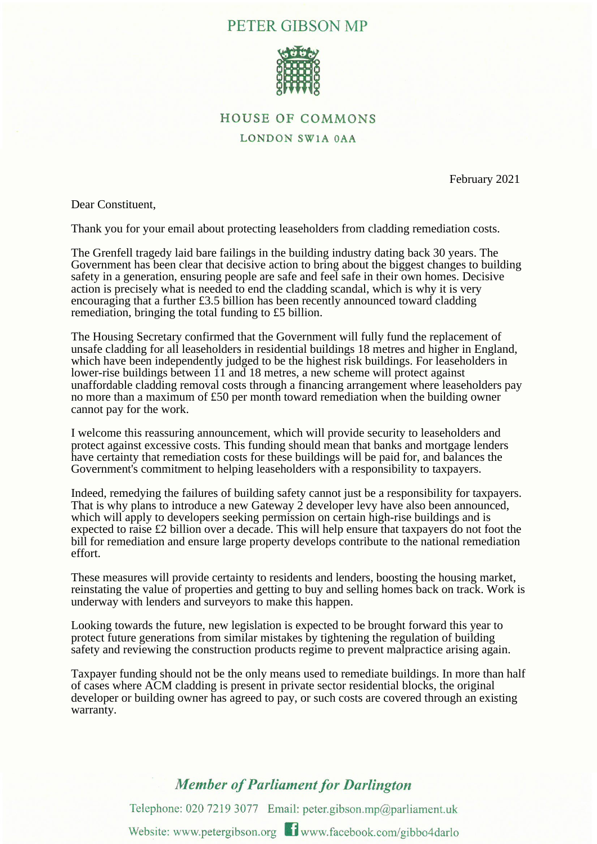## PETER GIBSON MP



## **HOUSE OF COMMONS**

LONDON SW1A 0AA

February 2021

Dear Constituent,

Thank you for your email about protecting leaseholders from cladding remediation costs.

The Grenfell tragedy laid bare failings in the building industry dating back 30 years. The Government has been clear that decisive action to bring about the biggest changes to building safety in a generation, ensuring people are safe and feel safe in their own homes. Decisive action is precisely what is needed to end the cladding scandal, which is why it is very encouraging that a further £3.5 billion has been recently announced toward cladding remediation, bringing the total funding to £5 billion.

The Housing Secretary confirmed that the Government will fully fund the replacement of unsafe cladding for all leaseholders in residential buildings 18 metres and higher in England, which have been independently judged to be the highest risk buildings. For leaseholders in lower-rise buildings between 11 and 18 metres, a new scheme will protect against unaffordable cladding removal costs through a financing arrangement where leaseholders pay no more than a maximum of £50 per month toward remediation when the building owner cannot pay for the work.

I welcome this reassuring announcement, which will provide security to leaseholders and protect against excessive costs. This funding should mean that banks and mortgage lenders have certainty that remediation costs for these buildings will be paid for, and balances the Government's commitment to helping leaseholders with a responsibility to taxpayers.

Indeed, remedying the failures of building safety cannot just be a responsibility for taxpayers. That is why plans to introduce a new Gateway 2 developer levy have also been announced, which will apply to developers seeking permission on certain high-rise buildings and is expected to raise £2 billion over a decade. This will help ensure that taxpayers do not foot the bill for remediation and ensure large property develops contribute to the national remediation effort.

These measures will provide certainty to residents and lenders, boosting the housing market, reinstating the value of properties and getting to buy and selling homes back on track. Work is underway with lenders and surveyors to make this happen.

Looking towards the future, new legislation is expected to be brought forward this year to protect future generations from similar mistakes by tightening the regulation of building safety and reviewing the construction products regime to prevent malpractice arising again.

Taxpayer funding should not be the only means used to remediate buildings. In more than half of cases where ACM cladding is present in private sector residential blocks, the original developer or building owner has agreed to pay, or such costs are covered through an existing warranty.

## **Member of Parliament for Darlington**

Telephone: 020 7219 3077 Email: peter.gibson.mp@parliament.uk Website: www.petergibson.org **T** www.facebook.com/gibbo4darlo